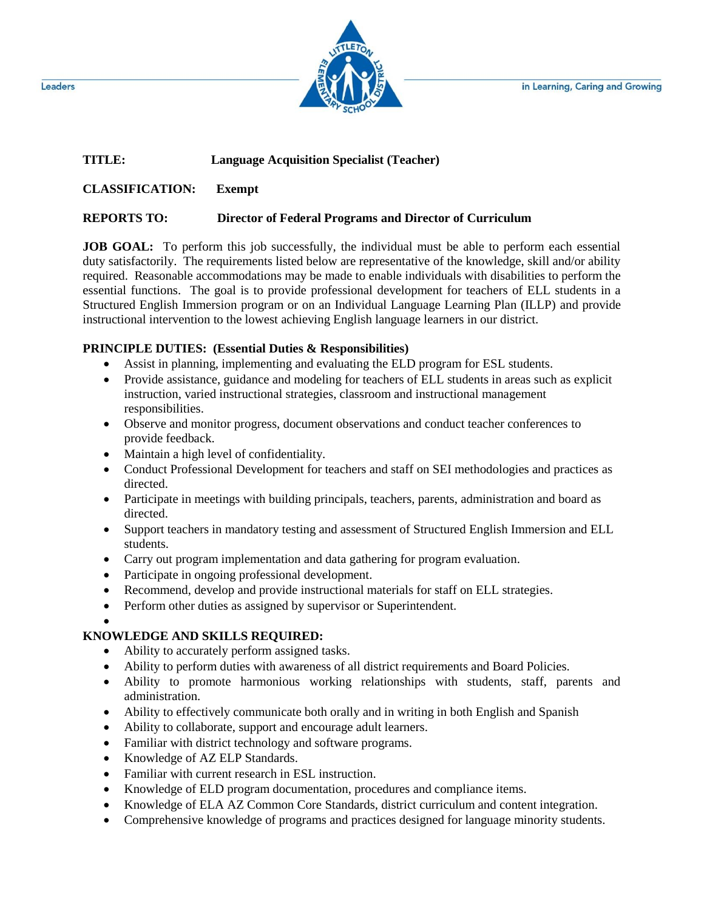in Learning, Caring and Growing



### **TITLE: Language Acquisition Specialist (Teacher)**

**CLASSIFICATION: Exempt**

## **REPORTS TO: Director of Federal Programs and Director of Curriculum**

**JOB GOAL:** To perform this job successfully, the individual must be able to perform each essential duty satisfactorily. The requirements listed below are representative of the knowledge, skill and/or ability required. Reasonable accommodations may be made to enable individuals with disabilities to perform the essential functions. The goal is to provide professional development for teachers of ELL students in a Structured English Immersion program or on an Individual Language Learning Plan (ILLP) and provide instructional intervention to the lowest achieving English language learners in our district.

### **PRINCIPLE DUTIES: (Essential Duties & Responsibilities)**

- Assist in planning, implementing and evaluating the ELD program for ESL students.
- Provide assistance, guidance and modeling for teachers of ELL students in areas such as explicit instruction, varied instructional strategies, classroom and instructional management responsibilities.
- Observe and monitor progress, document observations and conduct teacher conferences to provide feedback.
- Maintain a high level of confidentiality.
- Conduct Professional Development for teachers and staff on SEI methodologies and practices as directed.
- Participate in meetings with building principals, teachers, parents, administration and board as directed.
- Support teachers in mandatory testing and assessment of Structured English Immersion and ELL students.
- Carry out program implementation and data gathering for program evaluation.
- Participate in ongoing professional development.
- Recommend, develop and provide instructional materials for staff on ELL strategies.
- Perform other duties as assigned by supervisor or Superintendent.

#### $\bullet$

# **KNOWLEDGE AND SKILLS REQUIRED:**

- Ability to accurately perform assigned tasks.
- Ability to perform duties with awareness of all district requirements and Board Policies.
- Ability to promote harmonious working relationships with students, staff, parents and administration.
- Ability to effectively communicate both orally and in writing in both English and Spanish
- Ability to collaborate, support and encourage adult learners.
- Familiar with district technology and software programs.
- Knowledge of AZ ELP Standards.
- Familiar with current research in ESL instruction.
- Knowledge of ELD program documentation, procedures and compliance items.
- Knowledge of ELA AZ Common Core Standards, district curriculum and content integration.
- Comprehensive knowledge of programs and practices designed for language minority students.